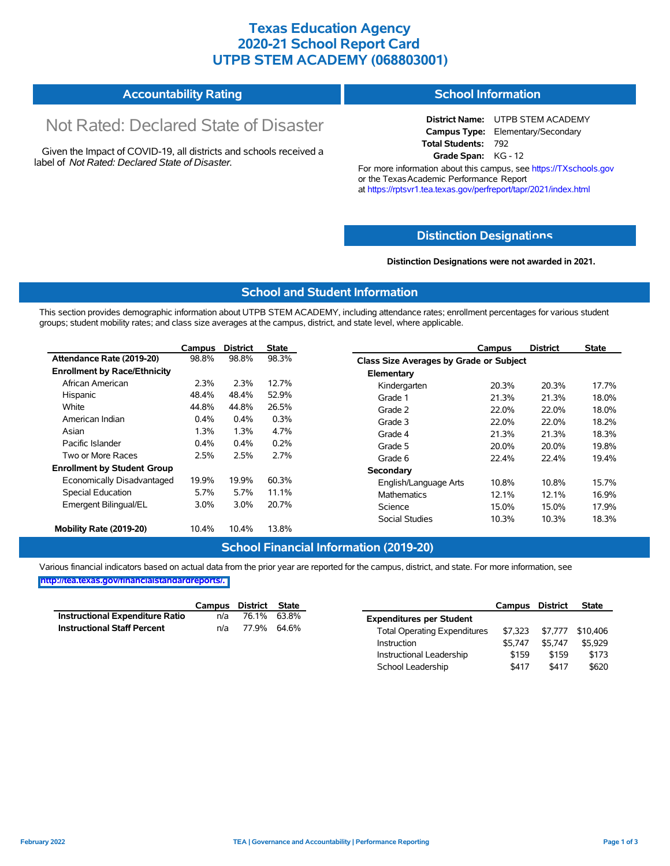## **Texas Education Agency 2020-21 School Report Card UTPB STEM ACADEMY (068803001)**

| <b>Accountability Rating</b> | <b>School Information</b> |
|------------------------------|---------------------------|
|------------------------------|---------------------------|

# Not Rated: Declared State of Disaster

Given the Impact of COVID-19, all districts and schools received a label of *Not Rated: Declared State of Disaster.*

**District Name:** UTPB STEM ACADEMY **Campus Type:** Elementary/Secondary **Total Students:** 792 **Grade Span:** KG - 12

For more information about this campus, see https://TXschools.gov or the Texas Academic Performance Report at https://rptsvr1.tea.texas.gov/perfreport/tapr/2021/index.html

### **Distinction Designat[ions](https://TXschools.gov)**

**Distinction Designations were not awarded in 2021.**

School Leadership  $$417$  \$417 \$620

#### **School and Student Information**

This section provides demographic information about UTPB STEM ACADEMY, including attendance rates; enrollment percentages for various student groups; student mobility rates; and class size averages at the campus, district, and state level, where applicable.

|                                     | Campus | <b>District</b> | <b>State</b> | Campus                         | <b>District</b>                         | <b>State</b> |  |  |  |  |  |
|-------------------------------------|--------|-----------------|--------------|--------------------------------|-----------------------------------------|--------------|--|--|--|--|--|
| Attendance Rate (2019-20)           | 98.8%  | 98.8%           | 98.3%        |                                | Class Size Averages by Grade or Subject |              |  |  |  |  |  |
| <b>Enrollment by Race/Ethnicity</b> |        |                 |              | Elementary                     |                                         |              |  |  |  |  |  |
| African American                    | 2.3%   | 2.3%            | 12.7%        | 20.3%<br>Kindergarten          | 20.3%                                   | 17.7%        |  |  |  |  |  |
| Hispanic                            | 48.4%  | 48.4%           | 52.9%        | Grade 1<br>21.3%               | 21.3%                                   | 18.0%        |  |  |  |  |  |
| White                               | 44.8%  | 44.8%           | 26.5%        | Grade 2<br>22.0%               | 22.0%                                   | 18.0%        |  |  |  |  |  |
| American Indian                     | 0.4%   | 0.4%            | 0.3%         | Grade 3<br>22.0%               | 22.0%                                   | 18.2%        |  |  |  |  |  |
| Asian                               | 1.3%   | 1.3%            | 4.7%         | 21.3%<br>Grade 4               | 21.3%                                   | 18.3%        |  |  |  |  |  |
| Pacific Islander                    | 0.4%   | 0.4%            | 0.2%         | Grade 5<br>20.0%               | 20.0%                                   | 19.8%        |  |  |  |  |  |
| Two or More Races                   | 2.5%   | 2.5%            | 2.7%         | Grade 6<br>22.4%               | 22.4%                                   | 19.4%        |  |  |  |  |  |
| <b>Enrollment by Student Group</b>  |        |                 |              | Secondary                      |                                         |              |  |  |  |  |  |
| Economically Disadvantaged          | 19.9%  | 19.9%           | 60.3%        | 10.8%<br>English/Language Arts | 10.8%                                   | 15.7%        |  |  |  |  |  |
| Special Education                   | 5.7%   | 5.7%            | 11.1%        | <b>Mathematics</b><br>12.1%    | 12.1%                                   | 16.9%        |  |  |  |  |  |
| Emergent Bilingual/EL               | 3.0%   | 3.0%            | 20.7%        | 15.0%<br>Science               | 15.0%                                   | 17.9%        |  |  |  |  |  |
|                                     |        |                 |              | <b>Social Studies</b><br>10.3% | 10.3%                                   | 18.3%        |  |  |  |  |  |
| Mobility Rate (2019-20)             | 10.4%  | 10.4%           | 13.8%        |                                |                                         |              |  |  |  |  |  |

#### **School Financial Information (2019-20)**

Various financial indicators based on actual data from the prior year are reported for the campus, district, and state. For more information, see

**[http://tea.texas.gov/financialstandardreports/.](http://tea.texas.gov/financialstandardreports/)**

|                                        | Campus | District State |             |                                     | Campus  | <b>District</b> | <b>State</b> |
|----------------------------------------|--------|----------------|-------------|-------------------------------------|---------|-----------------|--------------|
| <b>Instructional Expenditure Ratio</b> | n/a    |                | 76.1% 63.8% | <b>Expenditures per Student</b>     |         |                 |              |
| <b>Instructional Staff Percent</b>     | n/a    | 77.9% 64.6%    |             | <b>Total Operating Expenditures</b> | \$7.323 | \$7.777         | \$10,406     |
|                                        |        |                |             | Instruction                         | \$5.747 | \$5.747         | \$5,929      |
|                                        |        |                |             | Instructional Leadership            | \$159   | \$159           | \$173        |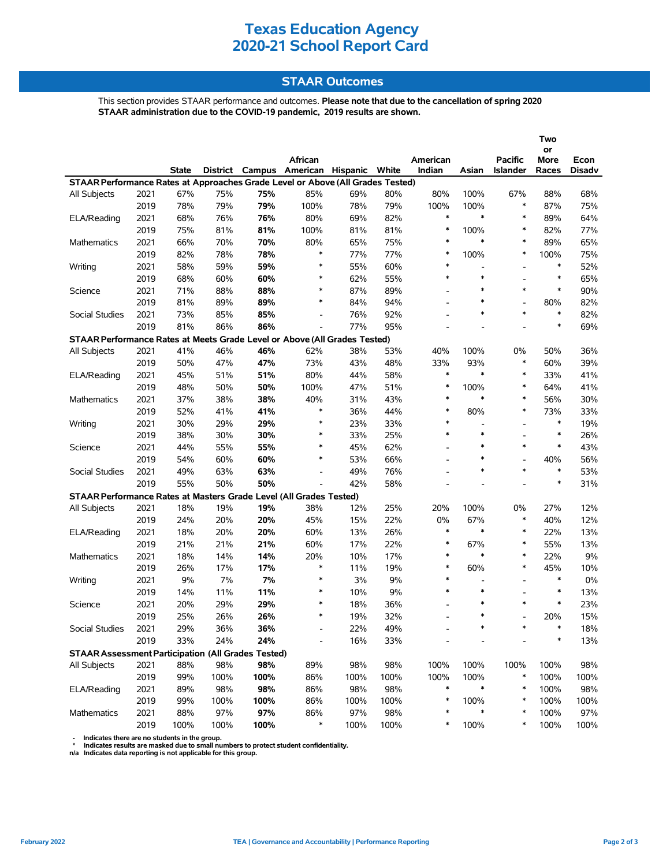## **Texas Education Agency 2020-21 School Report Card**

### **STAAR Outcomes**

This section provides STAAR performance and outcomes. **Please note that due to the cancellation of spring 2020 STAAR administration due to the COVID-19 pandemic, 2019 results are shown.**

|                                                                                                                           |      |              |      |      | African                  |      |      | American                 |                          | <b>Pacific</b>           | Two<br>or<br>More |                |  |
|---------------------------------------------------------------------------------------------------------------------------|------|--------------|------|------|--------------------------|------|------|--------------------------|--------------------------|--------------------------|-------------------|----------------|--|
|                                                                                                                           |      | <b>State</b> |      |      |                          |      |      | Indian                   | Asian                    | <b>Islander</b>          | Races             | Econ<br>Disadv |  |
| District Campus American Hispanic White<br>STAAR Performance Rates at Approaches Grade Level or Above (All Grades Tested) |      |              |      |      |                          |      |      |                          |                          |                          |                   |                |  |
| All Subjects                                                                                                              | 2021 | 67%          | 75%  | 75%  | 85%                      | 69%  | 80%  | 80%                      | 100%                     | 67%                      | 88%               | 68%            |  |
|                                                                                                                           | 2019 | 78%          | 79%  | 79%  | 100%                     | 78%  | 79%  | 100%                     | 100%                     | $\ast$                   | 87%               | 75%            |  |
| ELA/Reading                                                                                                               | 2021 | 68%          | 76%  | 76%  | 80%                      | 69%  | 82%  | $\ast$                   | $\ast$                   | $\ast$                   | 89%               | 64%            |  |
|                                                                                                                           | 2019 | 75%          | 81%  | 81%  | 100%                     | 81%  | 81%  | $\ast$                   | 100%                     | $\ast$                   | 82%               | 77%            |  |
| <b>Mathematics</b>                                                                                                        | 2021 | 66%          | 70%  | 70%  | 80%                      | 65%  | 75%  | $\ast$                   | $\ast$                   | *                        | 89%               | 65%            |  |
|                                                                                                                           | 2019 | 82%          | 78%  | 78%  | $\ast$                   | 77%  | 77%  | $\ast$                   | 100%                     | $\ast$                   | 100%              | 75%            |  |
| Writing                                                                                                                   | 2021 | 58%          | 59%  | 59%  | $\ast$                   | 55%  | 60%  | $\ast$                   | L.                       |                          | $\ast$            | 52%            |  |
|                                                                                                                           | 2019 | 68%          | 60%  | 60%  | $\ast$                   | 62%  | 55%  | $\ast$                   | $\ast$                   | $\blacksquare$           | $\ast$            | 65%            |  |
| Science                                                                                                                   | 2021 | 71%          | 88%  | 88%  | ∗                        | 87%  | 89%  | $\overline{\phantom{0}}$ | $\ast$                   | *                        | $\ast$            | 90%            |  |
|                                                                                                                           | 2019 | 81%          | 89%  | 89%  | $\ast$                   | 84%  | 94%  | $\overline{a}$           | $\ast$                   |                          | 80%               | 82%            |  |
| Social Studies                                                                                                            | 2021 | 73%          | 85%  | 85%  | $\overline{\phantom{a}}$ | 76%  | 92%  | $\overline{a}$           | $\ast$                   | $\ast$                   | $\ast$            | 82%            |  |
|                                                                                                                           | 2019 | 81%          | 86%  | 86%  | $\overline{a}$           | 77%  | 95%  |                          |                          |                          | $\ast$            | 69%            |  |
| STAAR Performance Rates at Meets Grade Level or Above (All Grades Tested)                                                 |      |              |      |      |                          |      |      |                          |                          |                          |                   |                |  |
| All Subjects                                                                                                              | 2021 | 41%          | 46%  | 46%  | 62%                      | 38%  | 53%  | 40%                      | 100%                     | 0%                       | 50%               | 36%            |  |
|                                                                                                                           | 2019 | 50%          | 47%  | 47%  | 73%                      | 43%  | 48%  | 33%                      | 93%                      | $\ast$                   | 60%               | 39%            |  |
| ELA/Reading                                                                                                               | 2021 | 45%          | 51%  | 51%  | 80%                      | 44%  | 58%  | $\ast$                   | $\ast$                   | $\ast$                   | 33%               | 41%            |  |
|                                                                                                                           | 2019 | 48%          | 50%  | 50%  | 100%                     | 47%  | 51%  | $\ast$                   | 100%                     | $\ast$                   | 64%               | 41%            |  |
| Mathematics                                                                                                               | 2021 | 37%          | 38%  | 38%  | 40%                      | 31%  | 43%  | $\ast$                   | $\ast$                   | $\ast$                   | 56%               | 30%            |  |
|                                                                                                                           | 2019 | 52%          | 41%  | 41%  | $\ast$                   | 36%  | 44%  | $\ast$                   | 80%                      | $\ast$                   | 73%               | 33%            |  |
| Writing                                                                                                                   | 2021 | 30%          | 29%  | 29%  | $\ast$                   | 23%  | 33%  | $\ast$                   | $\overline{\phantom{a}}$ | $\overline{\phantom{0}}$ | $\ast$            | 19%            |  |
|                                                                                                                           | 2019 | 38%          | 30%  | 30%  | $\ast$                   | 33%  | 25%  | $\ast$                   | $\ast$                   |                          | $\ast$            | 26%            |  |
| Science                                                                                                                   | 2021 | 44%          | 55%  | 55%  | ∗                        | 45%  | 62%  | $\overline{\phantom{0}}$ | $\ast$                   | *                        | $\ast$            | 43%            |  |
|                                                                                                                           | 2019 | 54%          | 60%  | 60%  | $\ast$                   | 53%  | 66%  |                          | $\ast$                   |                          | 40%               | 56%            |  |
| Social Studies                                                                                                            | 2021 | 49%          | 63%  | 63%  | $\overline{\phantom{a}}$ | 49%  | 76%  | $\overline{a}$           | $\ast$                   | $\ast$                   | $\ast$            | 53%            |  |
|                                                                                                                           | 2019 | 55%          | 50%  | 50%  | L,                       | 42%  | 58%  | $\overline{a}$           |                          |                          | $\ast$            | 31%            |  |
| STAAR Performance Rates at Masters Grade Level (All Grades Tested)                                                        |      |              |      |      |                          |      |      |                          |                          |                          |                   |                |  |
| All Subjects                                                                                                              | 2021 | 18%          | 19%  | 19%  | 38%                      | 12%  | 25%  | 20%                      | 100%                     | 0%                       | 27%               | 12%            |  |
|                                                                                                                           | 2019 | 24%          | 20%  | 20%  | 45%                      | 15%  | 22%  | 0%                       | 67%                      | $\ast$                   | 40%               | 12%            |  |
| ELA/Reading                                                                                                               | 2021 | 18%          | 20%  | 20%  | 60%                      | 13%  | 26%  | $\ast$                   | $\ast$                   | $\ast$                   | 22%               | 13%            |  |
|                                                                                                                           | 2019 | 21%          | 21%  | 21%  | 60%                      | 17%  | 22%  | $\ast$                   | 67%                      | $\ast$                   | 55%               | 13%            |  |
| Mathematics                                                                                                               | 2021 | 18%          | 14%  | 14%  | 20%                      | 10%  | 17%  | $\ast$                   | $\ast$                   | $\ast$                   | 22%               | 9%             |  |
|                                                                                                                           | 2019 | 26%          | 17%  | 17%  | $\ast$                   | 11%  | 19%  | $\ast$                   | 60%                      | $\ast$                   | 45%               | 10%            |  |
| Writing                                                                                                                   | 2021 | 9%           | 7%   | 7%   | $\ast$                   | 3%   | 9%   | $\ast$                   | $\overline{\phantom{a}}$ | $\overline{\phantom{a}}$ | $\ast$            | 0%             |  |
|                                                                                                                           | 2019 | 14%          | 11%  | 11%  | ∗                        | 10%  | 9%   | $\ast$                   | $\ast$                   |                          | $\ast$            | 13%            |  |
| Science                                                                                                                   | 2021 | 20%          | 29%  | 29%  | $\ast$                   | 18%  | 36%  | $\overline{a}$           | $\ast$                   | $\ast$                   | $\ast$            | 23%            |  |
|                                                                                                                           | 2019 | 25%          | 26%  | 26%  | $\ast$                   | 19%  | 32%  | $\overline{a}$           | $\ast$                   |                          | 20%               | 15%            |  |
| Social Studies                                                                                                            | 2021 | 29%          | 36%  | 36%  | $\overline{\phantom{a}}$ | 22%  | 49%  |                          |                          |                          |                   | 18%            |  |
|                                                                                                                           | 2019 | 33%          | 24%  | 24%  |                          | 16%  | 33%  |                          |                          |                          | $\ast$            | 13%            |  |
| <b>STAAR Assessment Participation (All Grades Tested)</b>                                                                 |      |              |      |      |                          |      |      |                          |                          |                          |                   |                |  |
| All Subjects                                                                                                              | 2021 | 88%          | 98%  | 98%  | 89%                      | 98%  | 98%  | 100%                     | 100%                     | 100%                     | 100%              | 98%            |  |
|                                                                                                                           | 2019 | 99%          | 100% | 100% | 86%                      | 100% | 100% | 100%                     | 100%                     | $\ast$                   | 100%              | 100%           |  |
| ELA/Reading                                                                                                               | 2021 | 89%          | 98%  | 98%  | 86%                      | 98%  | 98%  | $\ast$                   | $\ast$                   | $\ast$                   | 100%              | 98%            |  |
|                                                                                                                           | 2019 | 99%          | 100% | 100% | 86%                      | 100% | 100% | $\ast$                   | 100%                     | $\ast$                   | 100%              | 100%           |  |
| Mathematics                                                                                                               | 2021 | 88%          | 97%  | 97%  | 86%                      | 97%  | 98%  | *                        |                          | $\ast$                   | 100%              | 97%            |  |
|                                                                                                                           | 2019 | 100%         | 100% | 100% | ∗                        | 100% | 100% | *                        | 100%                     | ∗                        | 100%              | 100%           |  |

- Indicates there are no students in the group.<br>\* Indicates results are masked due to small numbers to protect student confidentiality.<br>n/a Indicates data reporting is not applicable for this group.